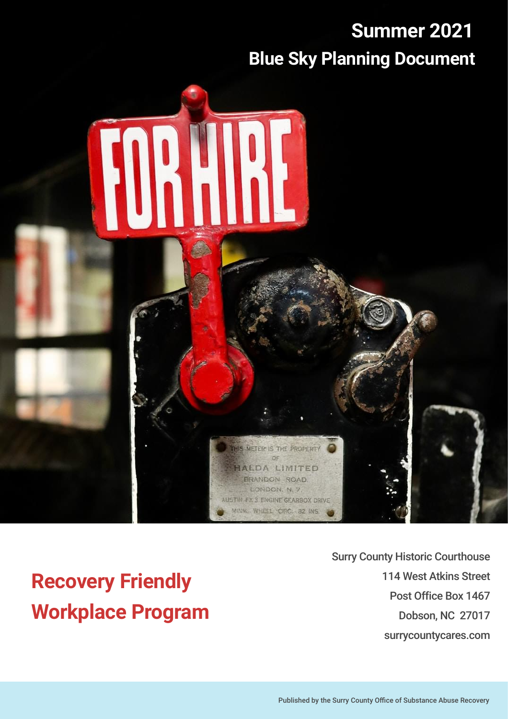### **Summer 2021 Blue Sky Planning Document**



**Recovery Friendly Workplace Program** Surry County Historic Courthouse 114 West Atkins Street Post Office Box 1467 Dobson, NC 27017 surrycountycares.com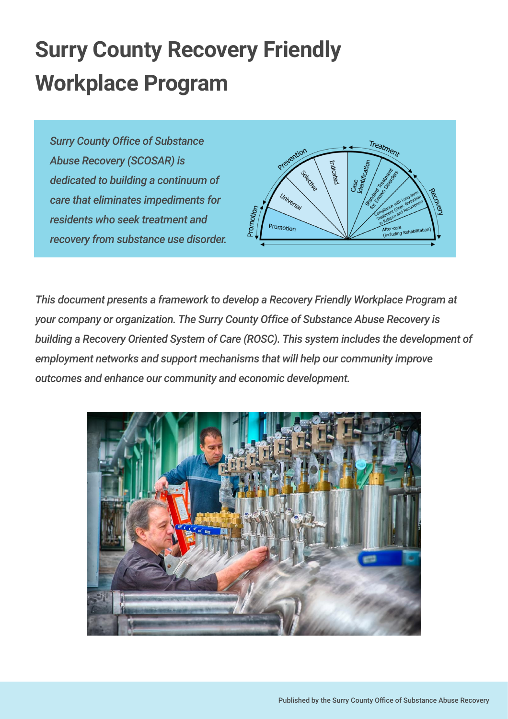# **Surry County Recovery Friendly Workplace Program**

*Surry County Office of Substance Abuse Recovery (SCOSAR) is dedicated to building a continuum of care that eliminates impediments for residents who seek treatment and recovery from substance use disorder.*



*This document presents a framework to develop a Recovery Friendly Workplace Program at your company or organization. The Surry County Office of Substance Abuse Recovery is building a Recovery Oriented System of Care (ROSC). This system includes the development of employment networks and support mechanisms that will help our community improve outcomes and enhance our community and economic development.*

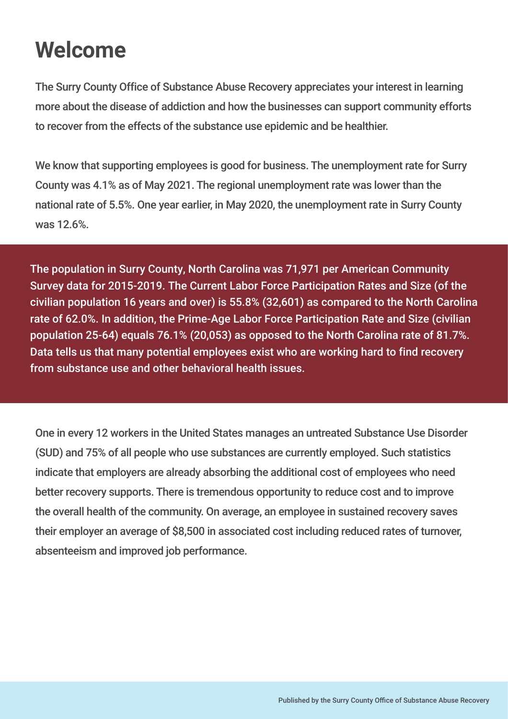### **Welcome**

The Surry County Office of Substance Abuse Recovery appreciates your interest in learning more about the disease of addiction and how the businesses can support community efforts to recover from the effects of the substance use epidemic and be healthier.

We know that supporting employees is good for business. The unemployment rate for Surry County was 4.1% as of May 2021. The regional unemployment rate was lower than the national rate of 5.5%. One year earlier, in May 2020, the unemployment rate in Surry County was 12.6%.

The population in Surry County, North Carolina was 71,971 per American Community Survey data for 2015-2019. The Current Labor Force Participation Rates and Size (of the civilian population 16 years and over) is 55.8% (32,601) as compared to the North Carolina rate of 62.0%. In addition, the Prime-Age Labor Force Participation Rate and Size (civilian population 25-64) equals 76.1% (20,053) as opposed to the North Carolina rate of 81.7%. Data tells us that many potential employees exist who are working hard to find recovery from substance use and other behavioral health issues.

One in every 12 workers in the United States manages an untreated Substance Use Disorder (SUD) and 75% of all people who use substances are currently employed. Such statistics indicate that employers are already absorbing the additional cost of employees who need better recovery supports. There is tremendous opportunity to reduce cost and to improve the overall health of the community. On average, an employee in sustained recovery saves their employer an average of \$8,500 in associated cost including reduced rates of turnover, absenteeism and improved job performance.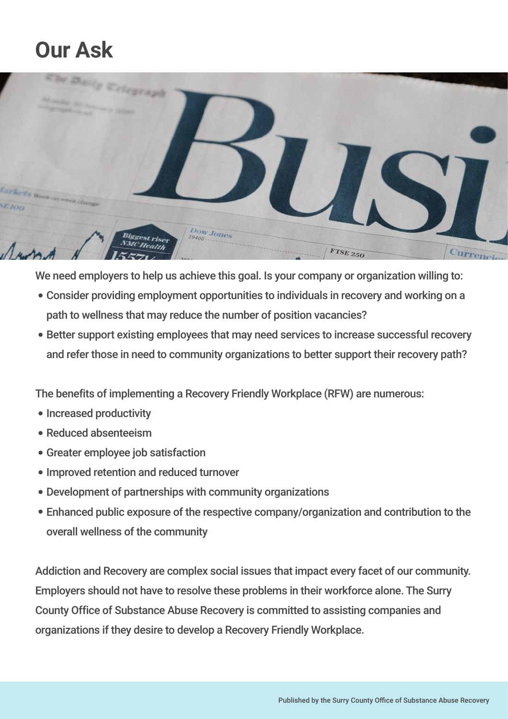### **Our Ask**



We need employers to help us achieve this goal. Is your company or organization willing to:

- Consider providing employment opportunities to individuals in recovery and working on a path to wellness that may reduce the number of position vacancies?
- Better support existing employees that may need services to increase successful recovery and refer those in need to community organizations to better support their recovery path?

The benefits of implementing a Recovery Friendly Workplace (RFW) are numerous:

- Increased productivity
- Reduced absenteeism
- Greater employee job satisfaction
- Improved retention and reduced turnover
- Development of partnerships with community organizations
- Enhanced public exposure of the respective company/organization and contribution to the overall wellness of the community

Addiction and Recovery are complex social issues that impact every facet of our community. Employers should not have to resolve these problems in their workforce alone. The Surry County Office of Substance Abuse Recovery is committed to assisting companies and organizations if they desire to develop a Recovery Friendly Workplace.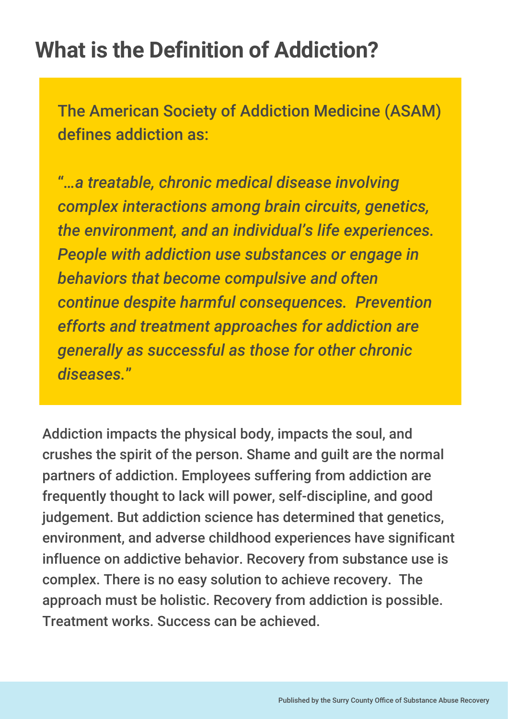### **What is the Definition of Addiction?**

The American Society of Addiction Medicine (ASAM) defines addiction as:

"*…a treatable, chronic medical disease involving complex interactions among brain circuits, genetics, the environment, and an individual's life experiences. People with addiction use substances or engage in behaviors that become compulsive and often continue despite harmful consequences. Prevention efforts and treatment approaches for addiction are generally as successful as those for other chronic diseases.*"

Addiction impacts the physical body, impacts the soul, and crushes the spirit of the person. Shame and guilt are the normal partners of addiction. Employees suffering from addiction are frequently thought to lack will power, self-discipline, and good judgement. But addiction science has determined that genetics, environment, and adverse childhood experiences have significant influence on addictive behavior. Recovery from substance use is complex. There is no easy solution to achieve recovery. The approach must be holistic. Recovery from addiction is possible. Treatment works. Success can be achieved.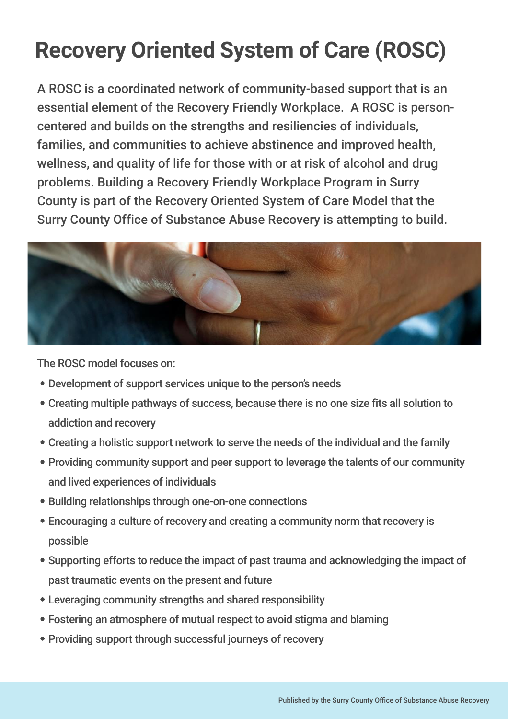# **Recovery Oriented System of Care (ROSC)**

A ROSC is a coordinated network of community-based support that is an essential element of the Recovery Friendly Workplace. A ROSC is personcentered and builds on the strengths and resiliencies of individuals, families, and communities to achieve abstinence and improved health, wellness, and quality of life for those with or at risk of alcohol and drug problems. Building a Recovery Friendly Workplace Program in Surry County is part of the Recovery Oriented System of Care Model that the Surry County Office of Substance Abuse Recovery is attempting to build.



The ROSC model focuses on:

- Development of support services unique to the person's needs
- Creating multiple pathways of success, because there is no one size fits all solution to addiction and recovery
- Creating a holistic support network to serve the needs of the individual and the family
- Providing community support and peer support to leverage the talents of our community and lived experiences of individuals
- Building relationships through one-on-one connections
- Encouraging a culture of recovery and creating a community norm that recovery is possible
- Supporting efforts to reduce the impact of past trauma and acknowledging the impact of past traumatic events on the present and future
- Leveraging community strengths and shared responsibility
- Fostering an atmosphere of mutual respect to avoid stigma and blaming
- Providing support through successful journeys of recovery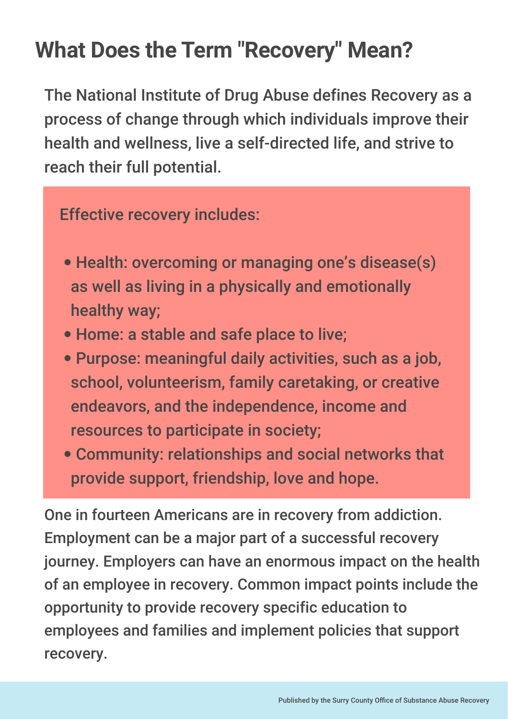### **What Does the Term "Recovery" Mean?**

The National Institute of Drug Abuse defines Recovery as a process of change through which individuals improve their health and wellness, live a self-directed life, and strive to reach their full potential.

Effective recovery includes:

- -1 • Health: overcoming or managing one's disease(s) as well as living in a physically and emotionally healthy way;
- T, Home: a stable and safe place to live;
- ÷, Purpose: meaningful daily activities, such as a job, school, volunteerism, family caretaking, or creative endeavors, and the independence, income and resources to participate in society;
- Community: relationships and social networks that provide support, friendship, love and hope.

One in fourteen Americans are in recovery from addiction. Employment can be a major part of a successful recovery journey. Employers can have an enormous impact on the health of an employee in recovery. Common impact points include the opportunity to provide recovery specific education to employees and families and implement policies that support recovery.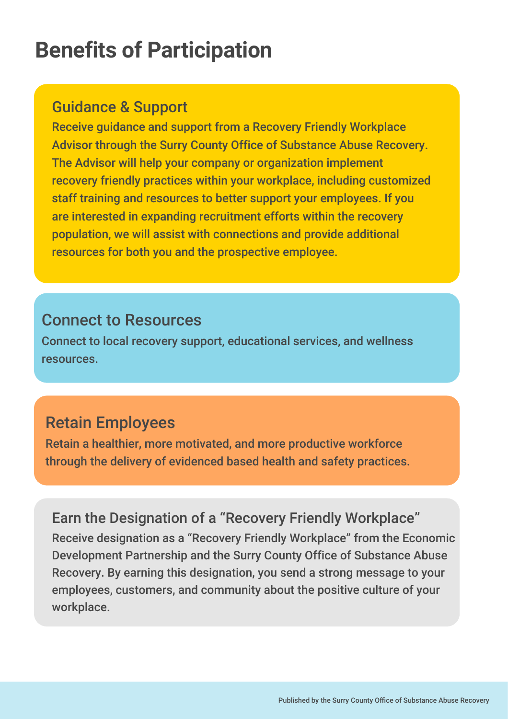### **Benefits of Participation**

#### Guidance & Support

Receive guidance and support from a Recovery Friendly Workplace Advisor through the Surry County Office of Substance Abuse Recovery. The Advisor will help your company or organization implement recovery friendly practices within your workplace, including customized staff training and resources to better support your employees. If you are interested in expanding recruitment efforts within the recovery population, we will assist with connections and provide additional resources for both you and the prospective employee.

#### Connect to Resources

Connect to local recovery support, educational services, and wellness resources.

#### Retain Employees

Retain a healthier, more motivated, and more productive workforce through the delivery of evidenced based health and safety practices.

Earn the Designation of a "Recovery Friendly Workplace" Receive designation as a "Recovery Friendly Workplace" from the Economic Development Partnership and the Surry County Office of Substance Abuse Recovery. By earning this designation, you send a strong message to your employees, customers, and community about the positive culture of your workplace.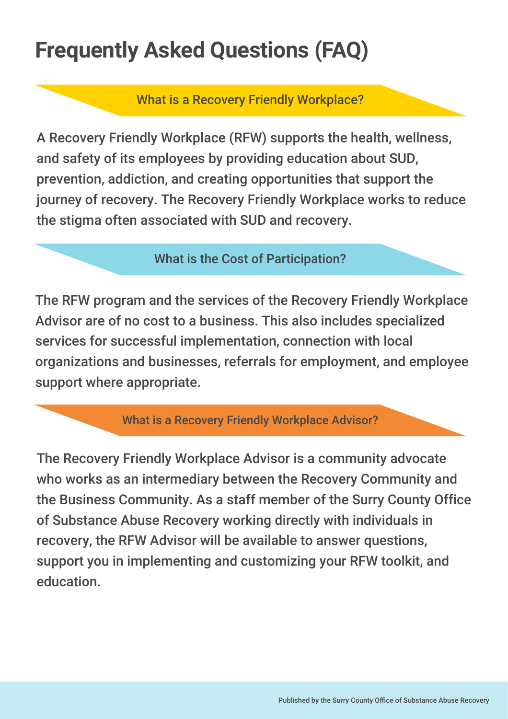# **Frequently Asked Questions (FAQ)**

What is a Recovery Friendly Workplace?

A Recovery Friendly Workplace (RFW) supports the health, wellness, and safety of its employees by providing education about SUD, prevention, addiction, and creating opportunities that support the journey of recovery. The Recovery Friendly Workplace works to reduce the stigma often associated with SUD and recovery.

#### What is the Cost of Participation?

The RFW program and the services of the Recovery Friendly Workplace Advisor are of no cost to a business. This also includes specialized services for successful implementation, connection with local organizations and businesses, referrals for employment, and employee support where appropriate.

#### What is a Recovery Friendly Workplace Advisor?

The Recovery Friendly Workplace Advisor is a community advocate who works as an intermediary between the Recovery Community and the Business Community. As a staff member of the Surry County Office of Substance Abuse Recovery working directly with individuals in recovery, the RFW Advisor will be available to answer questions, support you in implementing and customizing your RFW toolkit, and education.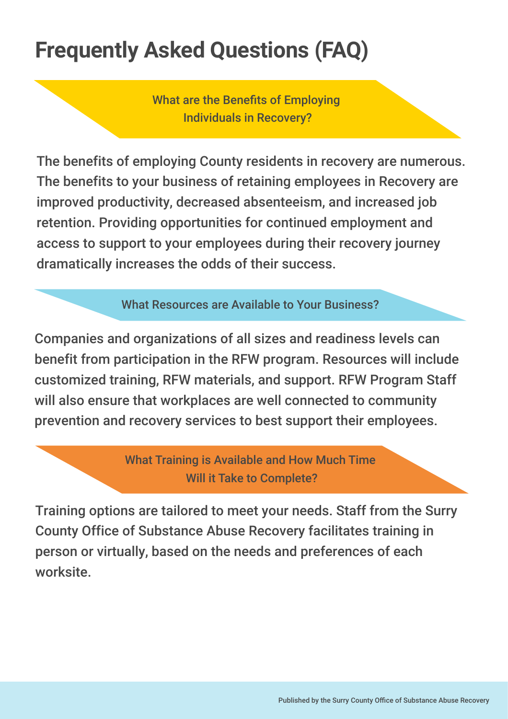# **Frequently Asked Questions (FAQ)**

What are the Benefits of Emploving Individuals in Recovery?

The benefits of employing County residents in recovery are numerous. The benefits to your business of retaining employees in Recovery are improved productivity, decreased absenteeism, and increased job retention. Providing opportunities for continued employment and access to support to your employees during their recovery journey dramatically increases the odds of their success.

What Resources are Available to Your Business?

Companies and organizations of all sizes and readiness levels can benefit from participation in the RFW program. Resources will include customized training, RFW materials, and support. RFW Program Staff will also ensure that workplaces are well connected to community prevention and recovery services to best support their employees.

> What Training is Available and How Much Time Will it Take to Complete?

Training options are tailored to meet your needs. Staff from the Surry County Office of Substance Abuse Recovery facilitates training in person or virtually, based on the needs and preferences of each worksite.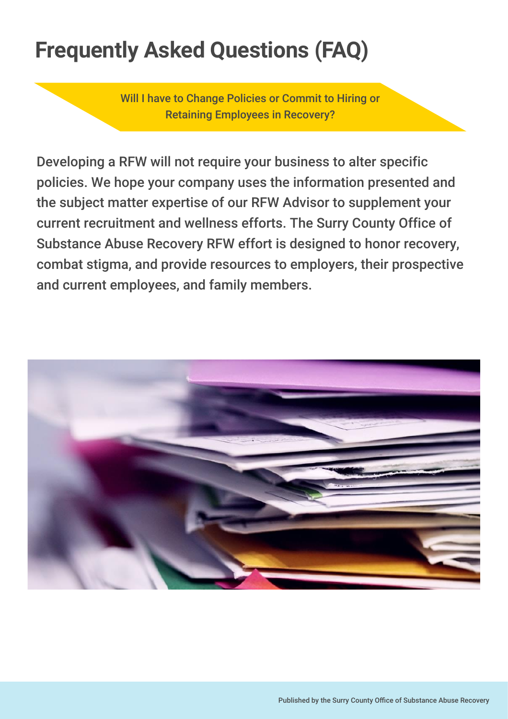# **Frequently Asked Questions (FAQ)**

Will I have to Change Policies or Commit to Hiring or Retaining Employees in Recovery?

Developing a RFW will not require your business to alter specific policies. We hope your company uses the information presented and the subject matter expertise of our RFW Advisor to supplement your current recruitment and wellness efforts. The Surry County Office of Substance Abuse Recovery RFW effort is designed to honor recovery, combat stigma, and provide resources to employers, their prospective and current employees, and family members.

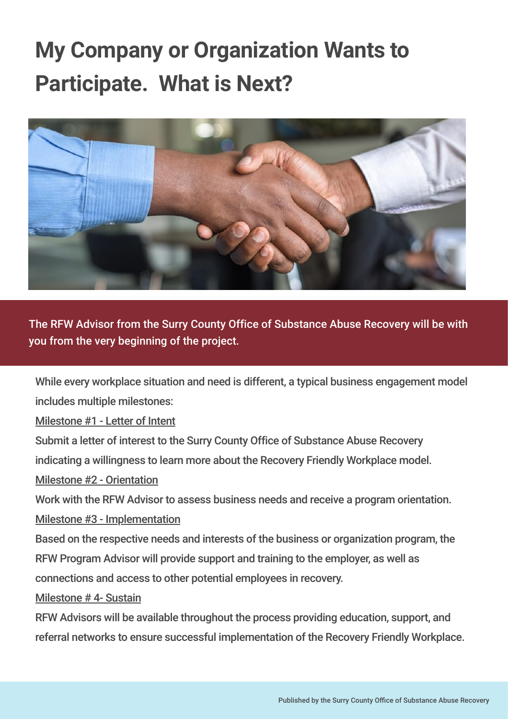# **My Company or Organization Wants to Participate. What is Next?**



The RFW Advisor from the Surry County Office of Substance Abuse Recovery will be with you from the very beginning of the project.

While every workplace situation and need is different, a typical business engagement model includes multiple milestones:

Milestone #1 - Letter of Intent

Submit a letter of interest to the Surry County Office of Substance Abuse Recovery

indicating a willingness to learn more about the Recovery Friendly Workplace model.

Milestone #2 - Orientation

Work with the RFW Advisor to assess business needs and receive a program orientation.

Milestone #3 - Implementation

Based on the respective needs and interests of the business or organization program, the RFW Program Advisor will provide support and training to the employer, as well as connections and access to other potential employees in recovery.

Milestone # 4- Sustain

RFW Advisors will be available throughout the process providing education, support, and referral networks to ensure successful implementation of the Recovery Friendly Workplace.